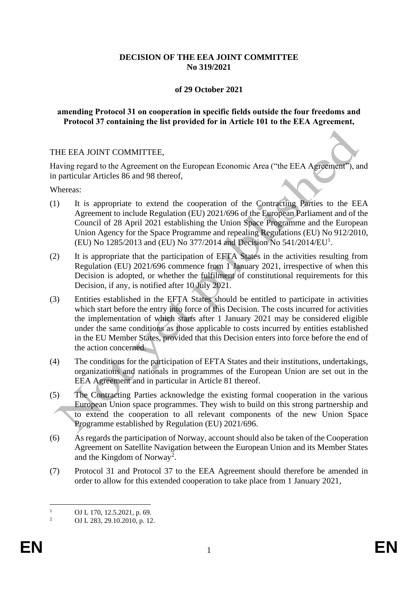## **DECISION OF THE EEA JOINT COMMITTEE No 319/2021**

#### **of 29 October 2021**

#### **amending Protocol 31 on cooperation in specific fields outside the four freedoms and Protocol 37 containing the list provided for in Article 101 to the EEA Agreement,**

#### THE EEA JOINT COMMITTEE,

Having regard to the Agreement on the European Economic Area ("the EEA Agreement"), and in particular Articles 86 and 98 thereof,

Whereas:

- (1) It is appropriate to extend the cooperation of the Contracting Parties to the EEA Agreement to include Regulation (EU) 2021/696 of the European Parliament and of the Council of 28 April 2021 establishing the Union Space Programme and the European Union Agency for the Space Programme and repealing Regulations (EU) No 912/2010, (EU) No 1285/2013 and (EU) No 377/2014 and Decision No  $541/2014/EU<sup>1</sup>$ .
- (2) It is appropriate that the participation of EFTA States in the activities resulting from Regulation (EU) 2021/696 commence from 1 January 2021, irrespective of when this Decision is adopted, or whether the fulfilment of constitutional requirements for this Decision, if any, is notified after 10 July 2021.
- (3) Entities established in the EFTA States should be entitled to participate in activities which start before the entry into force of this Decision. The costs incurred for activities the implementation of which starts after 1 January 2021 may be considered eligible under the same conditions as those applicable to costs incurred by entities established in the EU Member States, provided that this Decision enters into force before the end of the action concerned.
- (4) The conditions for the participation of EFTA States and their institutions, undertakings, organizations and nationals in programmes of the European Union are set out in the EEA Agreement and in particular in Article 81 thereof.
- (5) The Contracting Parties acknowledge the existing formal cooperation in the various European Union space programmes. They wish to build on this strong partnership and to extend the cooperation to all relevant components of the new Union Space Programme established by Regulation (EU) 2021/696.
- (6) As regards the participation of Norway, account should also be taken of the Cooperation Agreement on Satellite Navigation between the European Union and its Member States and the Kingdom of Norway<sup>2</sup>.
- (7) Protocol 31 and Protocol 37 to the EEA Agreement should therefore be amended in order to allow for this extended cooperation to take place from 1 January 2021,

 $\frac{1}{2}$  OJ L 170, 12.5.2021, p. 69.

<sup>2</sup> OJ L 283, 29.10.2010, p. 12.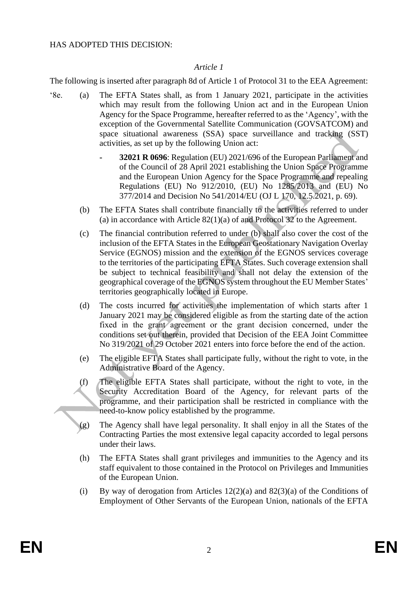#### HAS ADOPTED THIS DECISION:

## *Article 1*

The following is inserted after paragraph 8d of Article 1 of Protocol 31 to the EEA Agreement:

- '8e. (a) The EFTA States shall, as from 1 January 2021, participate in the activities which may result from the following Union act and in the European Union Agency for the Space Programme, hereafter referred to as the 'Agency', with the exception of the Governmental Satellite Communication (GOVSATCOM) and space situational awareness (SSA) space surveillance and tracking (SST) activities, as set up by the following Union act:
	- **- 32021 R 0696**: Regulation (EU) 2021/696 of the European Parliament and of the Council of 28 April 2021 establishing the Union Space Programme and the European Union Agency for the Space Programme and repealing Regulations (EU) No 912/2010, (EU) No 1285/2013 and (EU) No 377/2014 and Decision No 541/2014/EU (OJ L 170, 12.5.2021, p. 69).
	- (b) The EFTA States shall contribute financially to the activities referred to under (a) in accordance with Article 82(1)(a) of and Protocol 32 to the Agreement.
	- (c) The financial contribution referred to under (b) shall also cover the cost of the inclusion of the EFTA States in the European Geostationary Navigation Overlay Service (EGNOS) mission and the extension of the EGNOS services coverage to the territories of the participating EFTA States. Such coverage extension shall be subject to technical feasibility and shall not delay the extension of the geographical coverage of the EGNOS system throughout the EU Member States' territories geographically located in Europe.
	- (d) The costs incurred for activities the implementation of which starts after 1 January 2021 may be considered eligible as from the starting date of the action fixed in the grant agreement or the grаnt decision concerned, under the conditions set out therein, provided that Decision of the EEA Joint Committee No 319/2021 of 29 October 2021 enters into force before the end of the action.
	- (e) The eligible EFTA States shall participate fully, without the right to vote, in the Administrative Board of the Agency.
	- (f) The eligible EFTA States shall participate, without the right to vote, in the Security Accreditation Board of the Agency, for relevant parts of the programme, and their participation shall be restricted in compliance with the need-to-know policy established by the programme.
	- (g) The Agency shall have legal personality. It shall enjoy in all the States of the Contracting Parties the most extensive legal capacity accorded to legal persons under their laws.
	- (h) The EFTA States shall grant privileges and immunities to the Agency and its staff equivalent to those contained in the Protocol on Privileges and Immunities of the European Union.
	- (i) By way of derogation from Articles  $12(2)(a)$  and  $82(3)(a)$  of the Conditions of Employment of Other Servants of the European Union, nationals of the EFTA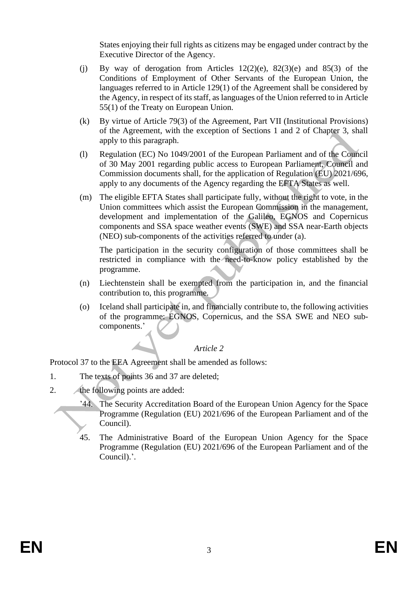States enjoying their full rights as citizens may be engaged under contract by the Executive Director of the Agency.

- (j) By way of derogation from Articles  $12(2)(e)$ ,  $82(3)(e)$  and  $85(3)$  of the Conditions of Employment of Other Servants of the European Union, the languages referred to in Article 129(1) of the Agreement shall be considered by the Agency, in respect of its staff, as languages of the Union referred to in Article 55(1) of the Treaty on European Union.
- (k) By virtue of Article 79(3) of the Agreement, Part VII (Institutional Provisions) of the Agreement, with the exception of Sections 1 and 2 of Chapter 3, shall apply to this paragraph.
- (l) Regulation (EC) No 1049/2001 of the European Parliament and of the Council of 30 May 2001 regarding public access to European Parliament, Council and Commission documents shall, for the application of Regulation (EU) 2021/696, apply to any documents of the Agency regarding the EFTA States as well.
- (m) The eligible EFTA States shall participate fully, without the right to vote, in the Union committees which assist the European Commission in the management, development and implementation of the Galileo, EGNOS and Copernicus components and SSA space weather events (SWE) and SSA near-Earth objects (NEO) sub-components of the activities referred to under (a).

The participation in the security configuration of those committees shall be restricted in compliance with the need-to-know policy established by the programme.

- (n) Liechtenstein shall be exempted from the participation in, and the financial contribution to, this programme.
- (o) Iceland shall participate in, and financially contribute to, the following activities of the programme: EGNOS, Copernicus, and the SSA SWE and NEO subcomponents.'

#### *Article 2*

Protocol 37 to the EEA Agreement shall be amended as follows:

- 1. The texts of points 36 and 37 are deleted;
- 2. the following points are added:
	- '44. The Security Accreditation Board of the European Union Agency for the Space Programme (Regulation (EU) 2021/696 of the European Parliament and of the Council).
	- 45. The Administrative Board of the European Union Agency for the Space Programme (Regulation (EU) 2021/696 of the European Parliament and of the Council).'.